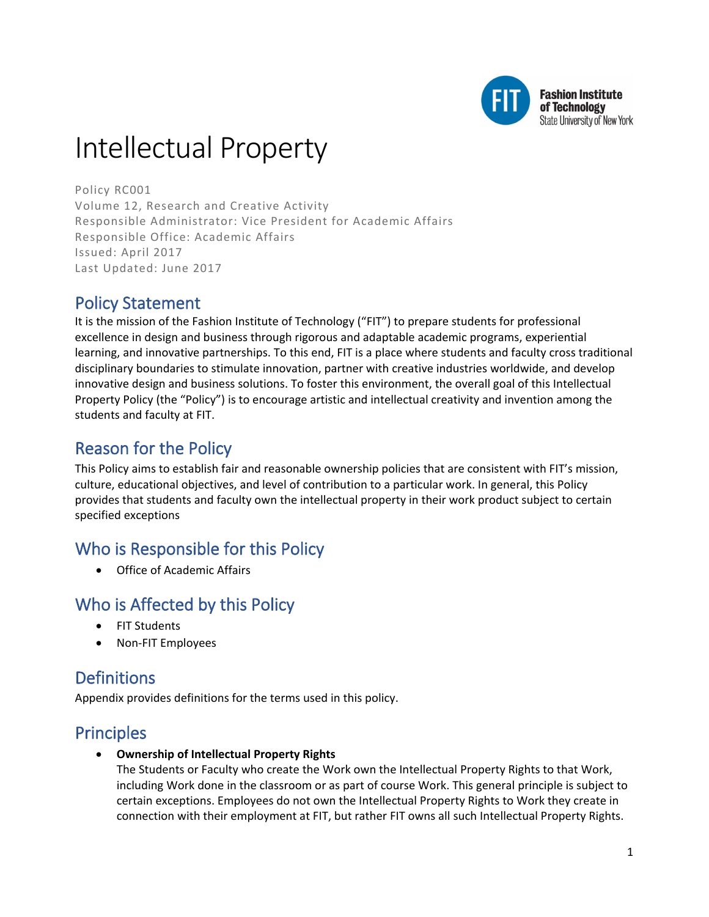

# Intellectual Property

Policy RC001 Volume 12, Research and Creative Activity Responsible Administrator: Vice President for Academic Affairs Responsible Office: Academic Affairs Issued: April 2017 Last Updated: June 2017

### Policy Statement

It is the mission of the Fashion Institute of Technology ("FIT") to prepare students for professional excellence in design and business through rigorous and adaptable academic programs, experiential learning, and innovative partnerships. To this end, FIT is a place where students and faculty cross traditional disciplinary boundaries to stimulate innovation, partner with creative industries worldwide, and develop innovative design and business solutions. To foster this environment, the overall goal of this Intellectual Property Policy (the "Policy") is to encourage artistic and intellectual creativity and invention among the students and faculty at FIT.

# Reason for the Policy

This Policy aims to establish fair and reasonable ownership policies that are consistent with FIT's mission, culture, educational objectives, and level of contribution to a particular work. In general, this Policy provides that students and faculty own the intellectual property in their work product subject to certain specified exceptions

# Who is Responsible for this Policy

• Office of Academic Affairs

### Who is Affected by this Policy

- FIT Students
- Non-FIT Employees

### **Definitions**

Appendix provides definitions for the terms used in this policy.

# Principles

• **Ownership of Intellectual Property Rights**

The Students or Faculty who create the Work own the Intellectual Property Rights to that Work, including Work done in the classroom or as part of course Work. This general principle is subject to certain exceptions. Employees do not own the Intellectual Property Rights to Work they create in connection with their employment at FIT, but rather FIT owns all such Intellectual Property Rights.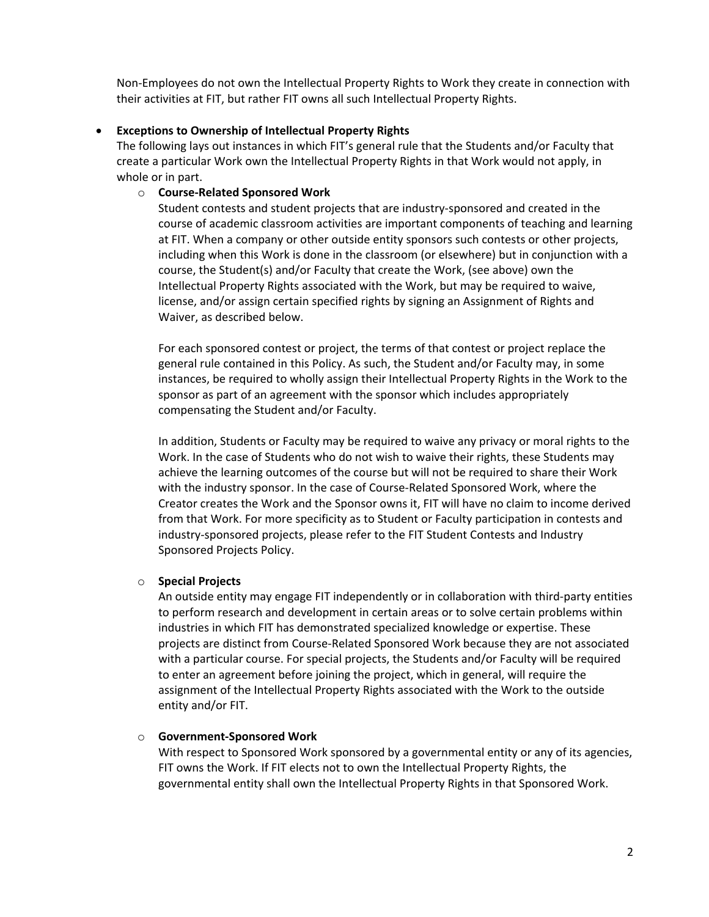Non-Employees do not own the Intellectual Property Rights to Work they create in connection with their activities at FIT, but rather FIT owns all such Intellectual Property Rights.

#### • **Exceptions to Ownership of Intellectual Property Rights**

The following lays out instances in which FIT's general rule that the Students and/or Faculty that create a particular Work own the Intellectual Property Rights in that Work would not apply, in whole or in part.

#### o **Course-Related Sponsored Work**

Student contests and student projects that are industry-sponsored and created in the course of academic classroom activities are important components of teaching and learning at FIT. When a company or other outside entity sponsors such contests or other projects, including when this Work is done in the classroom (or elsewhere) but in conjunction with a course, the Student(s) and/or Faculty that create the Work, (see above) own the Intellectual Property Rights associated with the Work, but may be required to waive, license, and/or assign certain specified rights by signing an Assignment of Rights and Waiver, as described below.

For each sponsored contest or project, the terms of that contest or project replace the general rule contained in this Policy. As such, the Student and/or Faculty may, in some instances, be required to wholly assign their Intellectual Property Rights in the Work to the sponsor as part of an agreement with the sponsor which includes appropriately compensating the Student and/or Faculty.

In addition, Students or Faculty may be required to waive any privacy or moral rights to the Work. In the case of Students who do not wish to waive their rights, these Students may achieve the learning outcomes of the course but will not be required to share their Work with the industry sponsor. In the case of Course-Related Sponsored Work, where the Creator creates the Work and the Sponsor owns it, FIT will have no claim to income derived from that Work. For more specificity as to Student or Faculty participation in contests and industry-sponsored projects, please refer to the FIT Student Contests and Industry Sponsored Projects Policy.

#### o **Special Projects**

An outside entity may engage FIT independently or in collaboration with third-party entities to perform research and development in certain areas or to solve certain problems within industries in which FIT has demonstrated specialized knowledge or expertise. These projects are distinct from Course-Related Sponsored Work because they are not associated with a particular course. For special projects, the Students and/or Faculty will be required to enter an agreement before joining the project, which in general, will require the assignment of the Intellectual Property Rights associated with the Work to the outside entity and/or FIT.

#### o **Government-Sponsored Work**

With respect to Sponsored Work sponsored by a governmental entity or any of its agencies, FIT owns the Work. If FIT elects not to own the Intellectual Property Rights, the governmental entity shall own the Intellectual Property Rights in that Sponsored Work.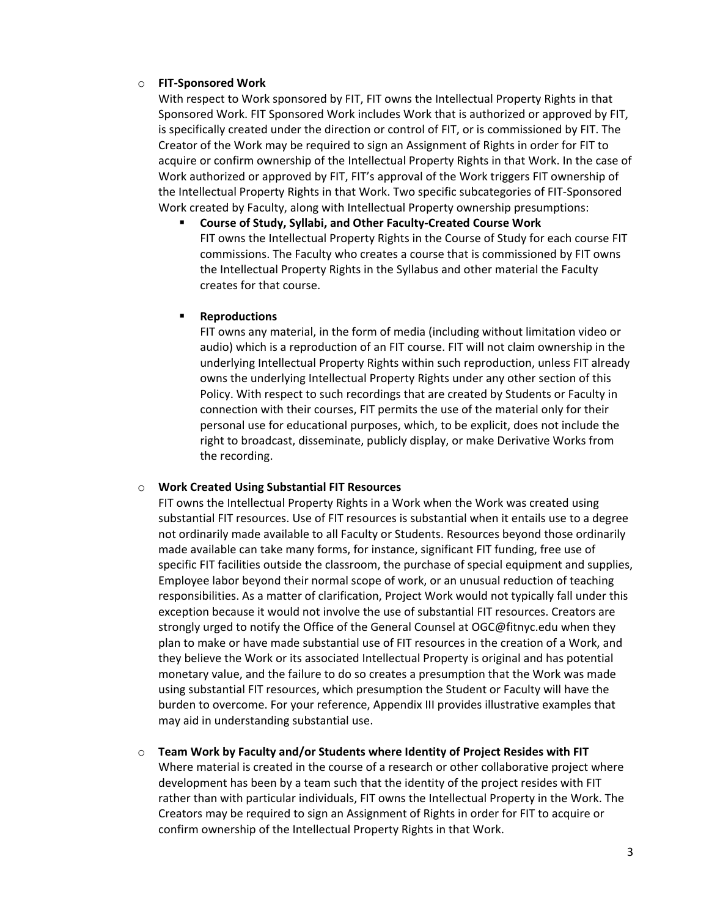#### o **FIT-Sponsored Work**

With respect to Work sponsored by FIT, FIT owns the Intellectual Property Rights in that Sponsored Work. FIT Sponsored Work includes Work that is authorized or approved by FIT, is specifically created under the direction or control of FIT, or is commissioned by FIT. The Creator of the Work may be required to sign an Assignment of Rights in order for FIT to acquire or confirm ownership of the Intellectual Property Rights in that Work. In the case of Work authorized or approved by FIT, FIT's approval of the Work triggers FIT ownership of the Intellectual Property Rights in that Work. Two specific subcategories of FIT-Sponsored Work created by Faculty, along with Intellectual Property ownership presumptions:

 **Course of Study, Syllabi, and Other Faculty-Created Course Work** FIT owns the Intellectual Property Rights in the Course of Study for each course FIT commissions. The Faculty who creates a course that is commissioned by FIT owns the Intellectual Property Rights in the Syllabus and other material the Faculty creates for that course.

#### **Reproductions**

FIT owns any material, in the form of media (including without limitation video or audio) which is a reproduction of an FIT course. FIT will not claim ownership in the underlying Intellectual Property Rights within such reproduction, unless FIT already owns the underlying Intellectual Property Rights under any other section of this Policy. With respect to such recordings that are created by Students or Faculty in connection with their courses, FIT permits the use of the material only for their personal use for educational purposes, which, to be explicit, does not include the right to broadcast, disseminate, publicly display, or make Derivative Works from the recording.

#### o **Work Created Using Substantial FIT Resources**

FIT owns the Intellectual Property Rights in a Work when the Work was created using substantial FIT resources. Use of FIT resources is substantial when it entails use to a degree not ordinarily made available to all Faculty or Students. Resources beyond those ordinarily made available can take many forms, for instance, significant FIT funding, free use of specific FIT facilities outside the classroom, the purchase of special equipment and supplies, Employee labor beyond their normal scope of work, or an unusual reduction of teaching responsibilities. As a matter of clarification, Project Work would not typically fall under this exception because it would not involve the use of substantial FIT resources. Creators are strongly urged to notify the Office of the General Counsel at OGC@fitnyc.edu when they plan to make or have made substantial use of FIT resources in the creation of a Work, and they believe the Work or its associated Intellectual Property is original and has potential monetary value, and the failure to do so creates a presumption that the Work was made using substantial FIT resources, which presumption the Student or Faculty will have the burden to overcome. For your reference, Appendix III provides illustrative examples that may aid in understanding substantial use.

#### o **Team Work by Faculty and/or Students where Identity of Project Resides with FIT** Where material is created in the course of a research or other collaborative project where development has been by a team such that the identity of the project resides with FIT

rather than with particular individuals, FIT owns the Intellectual Property in the Work. The Creators may be required to sign an Assignment of Rights in order for FIT to acquire or confirm ownership of the Intellectual Property Rights in that Work.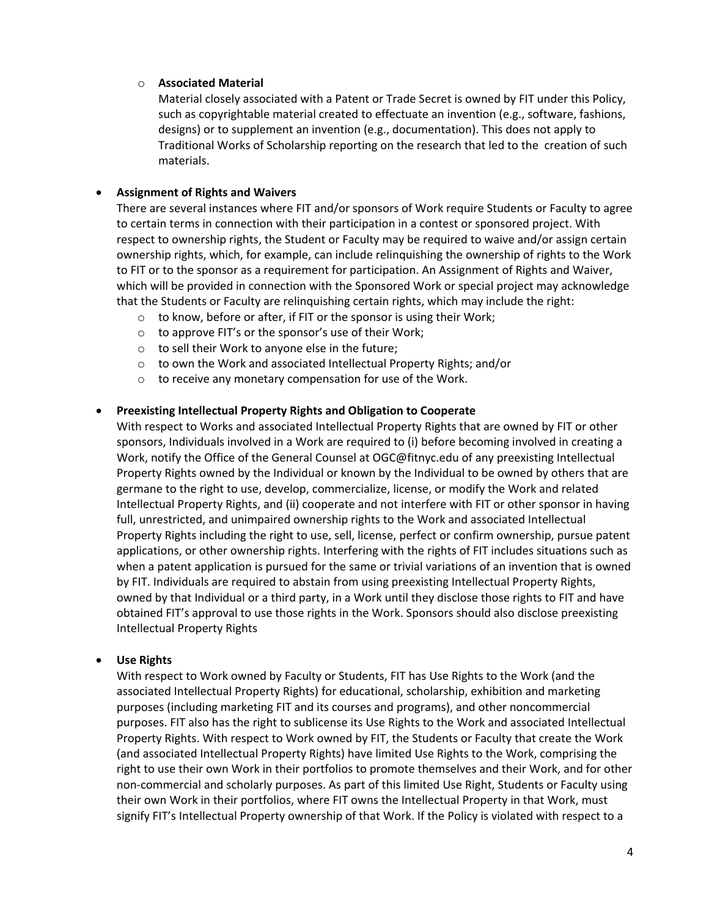#### o **Associated Material**

Material closely associated with a Patent or Trade Secret is owned by FIT under this Policy, such as copyrightable material created to effectuate an invention (e.g., software, fashions, designs) or to supplement an invention (e.g., documentation). This does not apply to Traditional Works of Scholarship reporting on the research that led to the creation of such materials.

#### • **Assignment of Rights and Waivers**

There are several instances where FIT and/or sponsors of Work require Students or Faculty to agree to certain terms in connection with their participation in a contest or sponsored project. With respect to ownership rights, the Student or Faculty may be required to waive and/or assign certain ownership rights, which, for example, can include relinquishing the ownership of rights to the Work to FIT or to the sponsor as a requirement for participation. An Assignment of Rights and Waiver, which will be provided in connection with the Sponsored Work or special project may acknowledge that the Students or Faculty are relinquishing certain rights, which may include the right:

- o to know, before or after, if FIT or the sponsor is using their Work;
- o to approve FIT's or the sponsor's use of their Work;
- $\circ$  to sell their Work to anyone else in the future;
- o to own the Work and associated Intellectual Property Rights; and/or
- o to receive any monetary compensation for use of the Work.

#### • **Preexisting Intellectual Property Rights and Obligation to Cooperate**

With respect to Works and associated Intellectual Property Rights that are owned by FIT or other sponsors, Individuals involved in a Work are required to (i) before becoming involved in creating a Work, notify the Office of the General Counsel at OGC@fitnyc.edu of any preexisting Intellectual Property Rights owned by the Individual or known by the Individual to be owned by others that are germane to the right to use, develop, commercialize, license, or modify the Work and related Intellectual Property Rights, and (ii) cooperate and not interfere with FIT or other sponsor in having full, unrestricted, and unimpaired ownership rights to the Work and associated Intellectual Property Rights including the right to use, sell, license, perfect or confirm ownership, pursue patent applications, or other ownership rights. Interfering with the rights of FIT includes situations such as when a patent application is pursued for the same or trivial variations of an invention that is owned by FIT. Individuals are required to abstain from using preexisting Intellectual Property Rights, owned by that Individual or a third party, in a Work until they disclose those rights to FIT and have obtained FIT's approval to use those rights in the Work. Sponsors should also disclose preexisting Intellectual Property Rights

#### • **Use Rights**

With respect to Work owned by Faculty or Students, FIT has Use Rights to the Work (and the associated Intellectual Property Rights) for educational, scholarship, exhibition and marketing purposes (including marketing FIT and its courses and programs), and other noncommercial purposes. FIT also has the right to sublicense its Use Rights to the Work and associated Intellectual Property Rights. With respect to Work owned by FIT, the Students or Faculty that create the Work (and associated Intellectual Property Rights) have limited Use Rights to the Work, comprising the right to use their own Work in their portfolios to promote themselves and their Work, and for other non-commercial and scholarly purposes. As part of this limited Use Right, Students or Faculty using their own Work in their portfolios, where FIT owns the Intellectual Property in that Work, must signify FIT's Intellectual Property ownership of that Work. If the Policy is violated with respect to a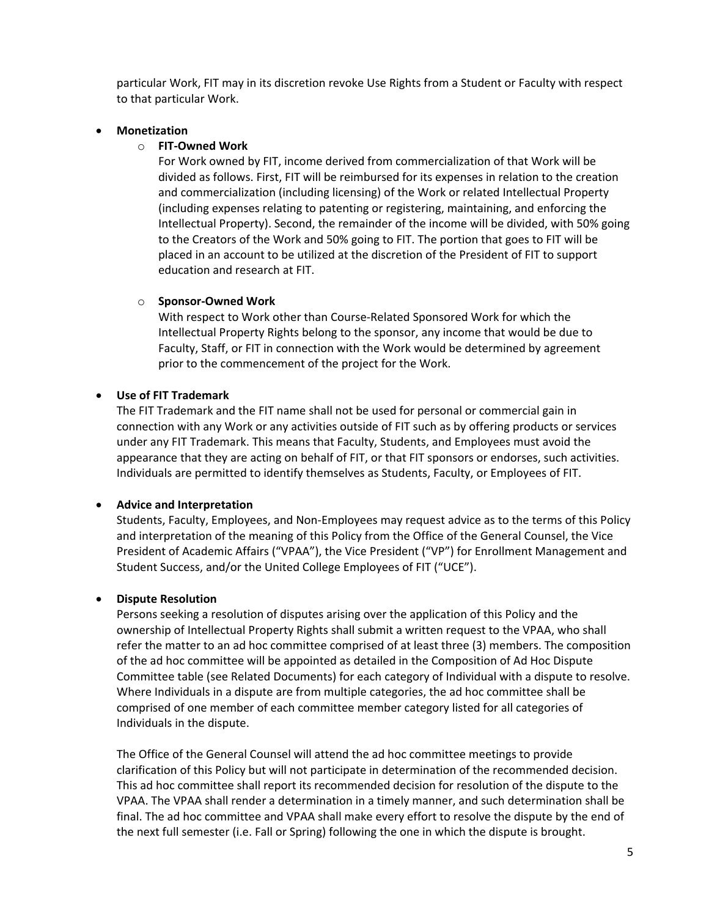particular Work, FIT may in its discretion revoke Use Rights from a Student or Faculty with respect to that particular Work.

#### • **Monetization**

#### o **FIT-Owned Work**

For Work owned by FIT, income derived from commercialization of that Work will be divided as follows. First, FIT will be reimbursed for its expenses in relation to the creation and commercialization (including licensing) of the Work or related Intellectual Property (including expenses relating to patenting or registering, maintaining, and enforcing the Intellectual Property). Second, the remainder of the income will be divided, with 50% going to the Creators of the Work and 50% going to FIT. The portion that goes to FIT will be placed in an account to be utilized at the discretion of the President of FIT to support education and research at FIT.

#### o **Sponsor-Owned Work**

With respect to Work other than Course-Related Sponsored Work for which the Intellectual Property Rights belong to the sponsor, any income that would be due to Faculty, Staff, or FIT in connection with the Work would be determined by agreement prior to the commencement of the project for the Work.

#### • **Use of FIT Trademark**

The FIT Trademark and the FIT name shall not be used for personal or commercial gain in connection with any Work or any activities outside of FIT such as by offering products or services under any FIT Trademark. This means that Faculty, Students, and Employees must avoid the appearance that they are acting on behalf of FIT, or that FIT sponsors or endorses, such activities. Individuals are permitted to identify themselves as Students, Faculty, or Employees of FIT.

#### • **Advice and Interpretation**

Students, Faculty, Employees, and Non-Employees may request advice as to the terms of this Policy and interpretation of the meaning of this Policy from the Office of the General Counsel, the Vice President of Academic Affairs ("VPAA"), the Vice President ("VP") for Enrollment Management and Student Success, and/or the United College Employees of FIT ("UCE").

#### • **Dispute Resolution**

Persons seeking a resolution of disputes arising over the application of this Policy and the ownership of Intellectual Property Rights shall submit a written request to the VPAA, who shall refer the matter to an ad hoc committee comprised of at least three (3) members. The composition of the ad hoc committee will be appointed as detailed in the Composition of Ad Hoc Dispute Committee table (see Related Documents) for each category of Individual with a dispute to resolve. Where Individuals in a dispute are from multiple categories, the ad hoc committee shall be comprised of one member of each committee member category listed for all categories of Individuals in the dispute.

The Office of the General Counsel will attend the ad hoc committee meetings to provide clarification of this Policy but will not participate in determination of the recommended decision. This ad hoc committee shall report its recommended decision for resolution of the dispute to the VPAA. The VPAA shall render a determination in a timely manner, and such determination shall be final. The ad hoc committee and VPAA shall make every effort to resolve the dispute by the end of the next full semester (i.e. Fall or Spring) following the one in which the dispute is brought.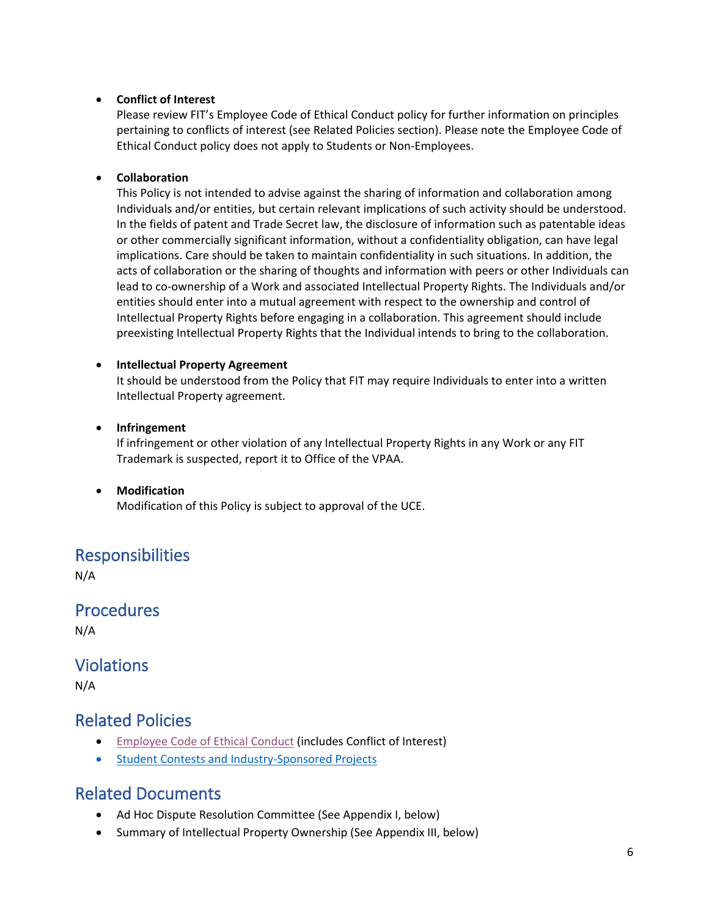#### • **Conflict of Interest**

Please review FIT's Employee Code of Ethical Conduct policy for further information on principles pertaining to conflicts of interest (see Related Policies section). Please note the Employee Code of Ethical Conduct policy does not apply to Students or Non-Employees.

#### • **Collaboration**

This Policy is not intended to advise against the sharing of information and collaboration among Individuals and/or entities, but certain relevant implications of such activity should be understood. In the fields of patent and Trade Secret law, the disclosure of information such as patentable ideas or other commercially significant information, without a confidentiality obligation, can have legal implications. Care should be taken to maintain confidentiality in such situations. In addition, the acts of collaboration or the sharing of thoughts and information with peers or other Individuals can lead to co-ownership of a Work and associated Intellectual Property Rights. The Individuals and/or entities should enter into a mutual agreement with respect to the ownership and control of Intellectual Property Rights before engaging in a collaboration. This agreement should include preexisting Intellectual Property Rights that the Individual intends to bring to the collaboration.

#### • **Intellectual Property Agreement**

It should be understood from the Policy that FIT may require Individuals to enter into a written Intellectual Property agreement.

#### • **Infringement**

If infringement or other violation of any Intellectual Property Rights in any Work or any FIT Trademark is suspected, report it to Office of the VPAA.

• **Modification** Modification of this Policy is subject to approval of the UCE.

### Responsibilities

N/A

**Procedures** 

N/A

### **Violations**

N/A

### Related Policies

- [Employee Code of Ethical Conduct](https://www.fitnyc.edu/about/policies/hr/employee-code-of-ethical-conduct.php) (includes Conflict of Interest)
- [Student Contests and Industry-Sponsored](https://www.fitnyc.edu/about/policies/academic-affairs/contests.php) Projects

### Related Documents

- [Ad Hoc Dispute Resolution Committee \(](http://www.fitnyc.edu/documents/intellectual-property-related-documents-adhoc.pdf)See Appendix I, below)
- Summary of Intellectual Property Ownership (See Appendix III, below)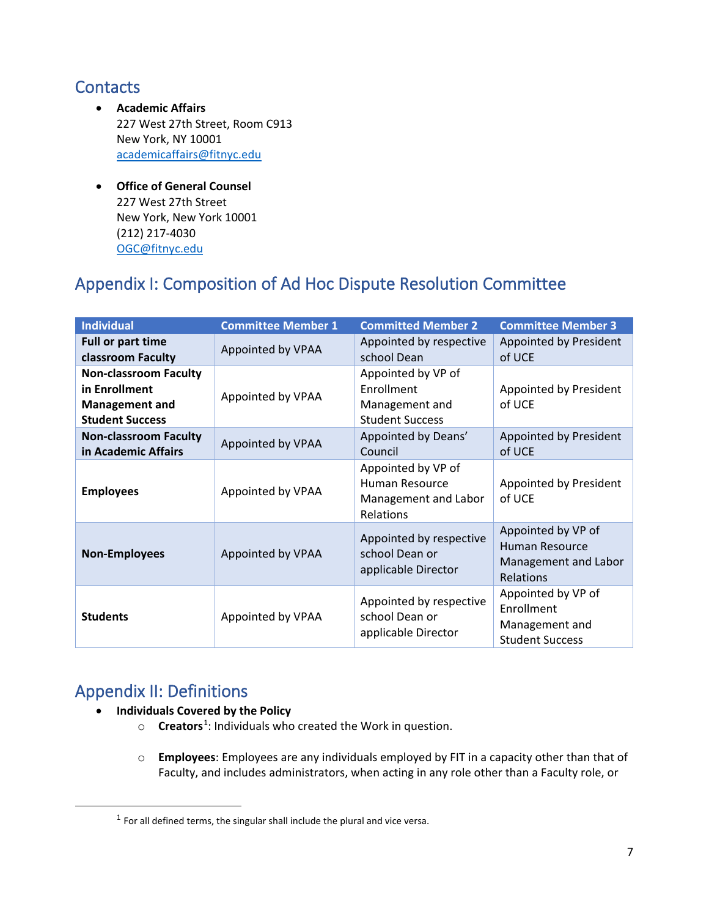## **Contacts**

- **Academic Affairs** 227 West 27th Street, Room C913 New York, NY 10001 [academicaffairs@fitnyc.edu](mailto:academicaffairs@fitnyc.edu)
- **Office of General Counsel** 227 West 27th Street New York, New York 10001 (212) 217-4030 [OGC@fitnyc.edu](mailto:OGC@fitnyc.edu)

# Appendix I: Composition of Ad Hoc Dispute Resolution Committee

| <b>Individual</b>                                                                                | <b>Committee Member 1</b> | <b>Committed Member 2</b>                                                    | <b>Committee Member 3</b>                                                    |
|--------------------------------------------------------------------------------------------------|---------------------------|------------------------------------------------------------------------------|------------------------------------------------------------------------------|
| <b>Full or part time</b><br>classroom Faculty                                                    | Appointed by VPAA         | Appointed by respective<br>school Dean                                       | Appointed by President<br>of UCE                                             |
| <b>Non-classroom Faculty</b><br>in Enrollment<br><b>Management and</b><br><b>Student Success</b> | Appointed by VPAA         | Appointed by VP of<br>Enrollment<br>Management and<br><b>Student Success</b> | Appointed by President<br>of UCE                                             |
| <b>Non-classroom Faculty</b><br>in Academic Affairs                                              | Appointed by VPAA         | Appointed by Deans'<br>Council                                               | Appointed by President<br>of UCE                                             |
| <b>Employees</b>                                                                                 | Appointed by VPAA         | Appointed by VP of<br>Human Resource<br>Management and Labor<br>Relations    | Appointed by President<br>of UCE                                             |
| <b>Non-Employees</b>                                                                             | Appointed by VPAA         | Appointed by respective<br>school Dean or<br>applicable Director             | Appointed by VP of<br>Human Resource<br>Management and Labor<br>Relations    |
| <b>Students</b>                                                                                  | Appointed by VPAA         | Appointed by respective<br>school Dean or<br>applicable Director             | Appointed by VP of<br>Enrollment<br>Management and<br><b>Student Success</b> |

# Appendix II: Definitions

- **Individuals Covered by the Policy**
	- o **Creators**[1](#page-6-0) : Individuals who created the Work in question.
	- o **Employees**: Employees are any individuals employed by FIT in a capacity other than that of Faculty, and includes administrators, when acting in any role other than a Faculty role, or

<span id="page-6-0"></span> $1$  For all defined terms, the singular shall include the plural and vice versa.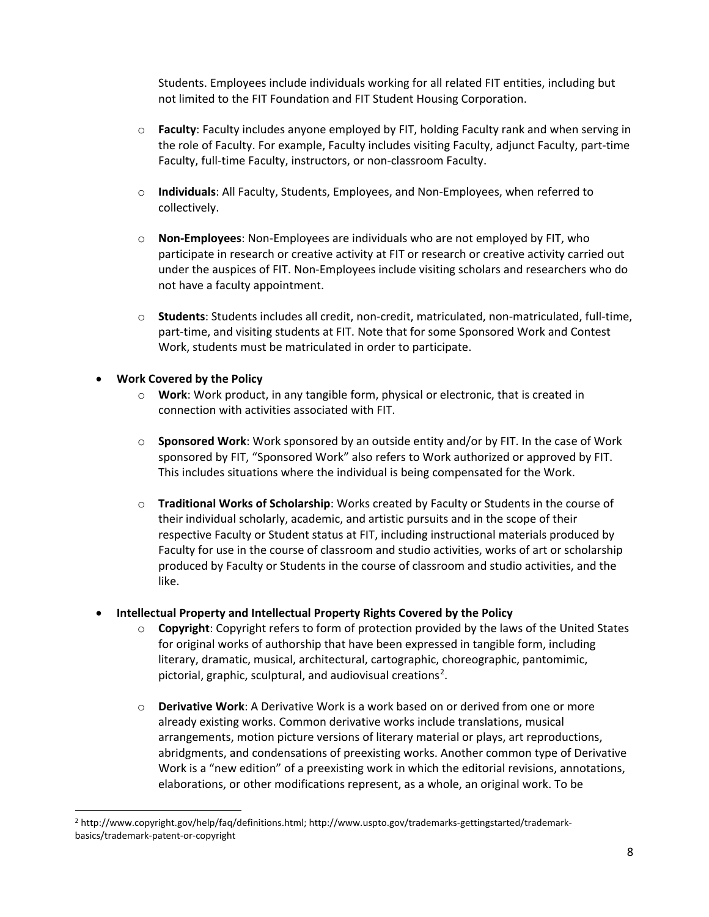Students. Employees include individuals working for all related FIT entities, including but not limited to the FIT Foundation and FIT Student Housing Corporation.

- o **Faculty**: Faculty includes anyone employed by FIT, holding Faculty rank and when serving in the role of Faculty. For example, Faculty includes visiting Faculty, adjunct Faculty, part-time Faculty, full-time Faculty, instructors, or non-classroom Faculty.
- o **Individuals**: All Faculty, Students, Employees, and Non-Employees, when referred to collectively.
- o **Non-Employees**: Non-Employees are individuals who are not employed by FIT, who participate in research or creative activity at FIT or research or creative activity carried out under the auspices of FIT. Non-Employees include visiting scholars and researchers who do not have a faculty appointment.
- o **Students**: Students includes all credit, non-credit, matriculated, non-matriculated, full-time, part-time, and visiting students at FIT. Note that for some Sponsored Work and Contest Work, students must be matriculated in order to participate.

#### • **Work Covered by the Policy**

- o **Work**: Work product, in any tangible form, physical or electronic, that is created in connection with activities associated with FIT.
- o **Sponsored Work**: Work sponsored by an outside entity and/or by FIT. In the case of Work sponsored by FIT, "Sponsored Work" also refers to Work authorized or approved by FIT. This includes situations where the individual is being compensated for the Work.
- o **Traditional Works of Scholarship**: Works created by Faculty or Students in the course of their individual scholarly, academic, and artistic pursuits and in the scope of their respective Faculty or Student status at FIT, including instructional materials produced by Faculty for use in the course of classroom and studio activities, works of art or scholarship produced by Faculty or Students in the course of classroom and studio activities, and the like.

#### • **Intellectual Property and Intellectual Property Rights Covered by the Policy**

- o **Copyright**: Copyright refers to form of protection provided by the laws of the United States for original works of authorship that have been expressed in tangible form, including literary, dramatic, musical, architectural, cartographic, choreographic, pantomimic, pictorial, graphic, sculptural, and audiovisual creations<sup>[2](#page-7-0)</sup>.
- o **Derivative Work**: A Derivative Work is a work based on or derived from one or more already existing works. Common derivative works include translations, musical arrangements, motion picture versions of literary material or plays, art reproductions, abridgments, and condensations of preexisting works. Another common type of Derivative Work is a "new edition" of a preexisting work in which the editorial revisions, annotations, elaborations, or other modifications represent, as a whole, an original work. To be

<span id="page-7-0"></span><sup>2</sup> http://www.copyright.gov/help/faq/definitions.html; http://www.uspto.gov/trademarks-gettingstarted/trademarkbasics/trademark-patent-or-copyright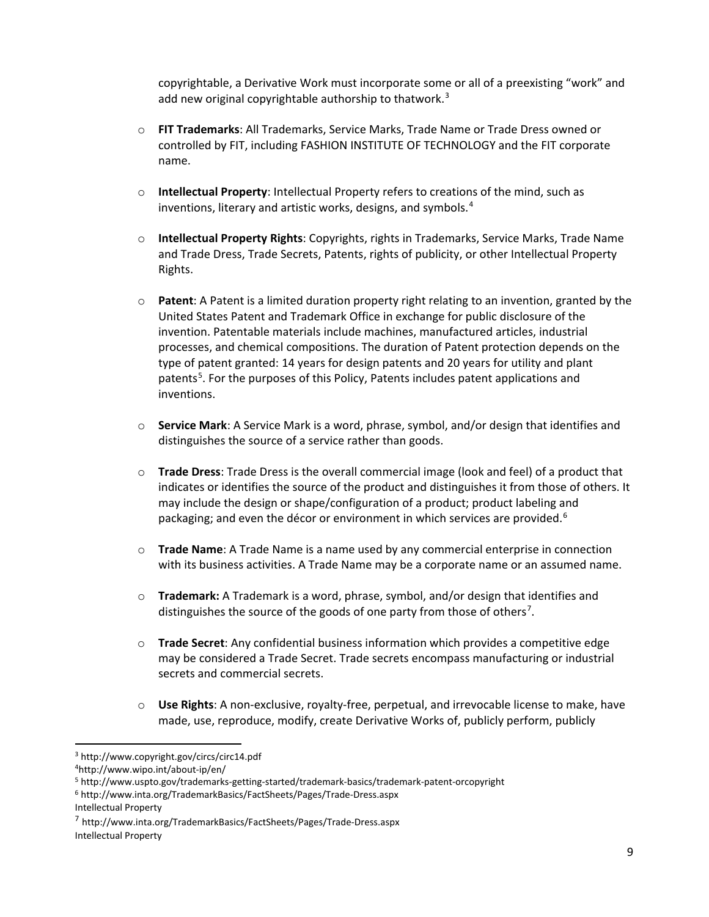copyrightable, a Derivative Work must incorporate some or all of a preexisting "work" and add new original copyrightable authorship to thatwork.<sup>[3](#page-8-0)</sup>

- o **FIT Trademarks**: All Trademarks, Service Marks, Trade Name or Trade Dress owned or controlled by FIT, including FASHION INSTITUTE OF TECHNOLOGY and the FIT corporate name.
- o **Intellectual Property**: Intellectual Property refers to creations of the mind, such as inventions, literary and artistic works, designs, and symbols.<sup>[4](#page-8-1)</sup>
- o **Intellectual Property Rights**: Copyrights, rights in Trademarks, Service Marks, Trade Name and Trade Dress, Trade Secrets, Patents, rights of publicity, or other Intellectual Property Rights.
- o **Patent**: A Patent is a limited duration property right relating to an invention, granted by the United States Patent and Trademark Office in exchange for public disclosure of the invention. Patentable materials include machines, manufactured articles, industrial processes, and chemical compositions. The duration of Patent protection depends on the type of patent granted: 14 years for design patents and 20 years for utility and plant patents<sup>[5](#page-8-2)</sup>. For the purposes of this Policy, Patents includes patent applications and inventions.
- o **Service Mark**: A Service Mark is a word, phrase, symbol, and/or design that identifies and distinguishes the source of a service rather than goods.
- o **Trade Dress**: Trade Dress is the overall commercial image (look and feel) of a product that indicates or identifies the source of the product and distinguishes it from those of others. It may include the design or shape/configuration of a product; product labeling and packaging; and even the décor or environment in which services are provided.<sup>[6](#page-8-3)</sup>
- o **Trade Name**: A Trade Name is a name used by any commercial enterprise in connection with its business activities. A Trade Name may be a corporate name or an assumed name.
- o **Trademark:** A Trademark is a word, phrase, symbol, and/or design that identifies and distinguishes the source of the goods of one party from those of others<sup>[7](#page-8-4)</sup>.
- o **Trade Secret**: Any confidential business information which provides a competitive edge may be considered a Trade Secret. Trade secrets encompass manufacturing or industrial secrets and commercial secrets.
- o **Use Rights**: A non-exclusive, royalty-free, perpetual, and irrevocable license to make, have made, use, reproduce, modify, create Derivative Works of, publicly perform, publicly

Intellectual Property

<span id="page-8-0"></span><sup>3</sup> http://www.copyright.gov/circs/circ14.pdf

<span id="page-8-1"></span><sup>4</sup>http://www.wipo.int/about-ip/en/

<span id="page-8-2"></span><sup>5</sup> http://www.uspto.gov/trademarks-getting-started/trademark-basics/trademark-patent-orcopyright

<span id="page-8-3"></span><sup>6</sup> http://www.inta.org/TrademarkBasics/FactSheets/Pages/Trade-Dress.aspx

<span id="page-8-4"></span><sup>7</sup> http://www.inta.org/TrademarkBasics/FactSheets/Pages/Trade-Dress.aspx Intellectual Property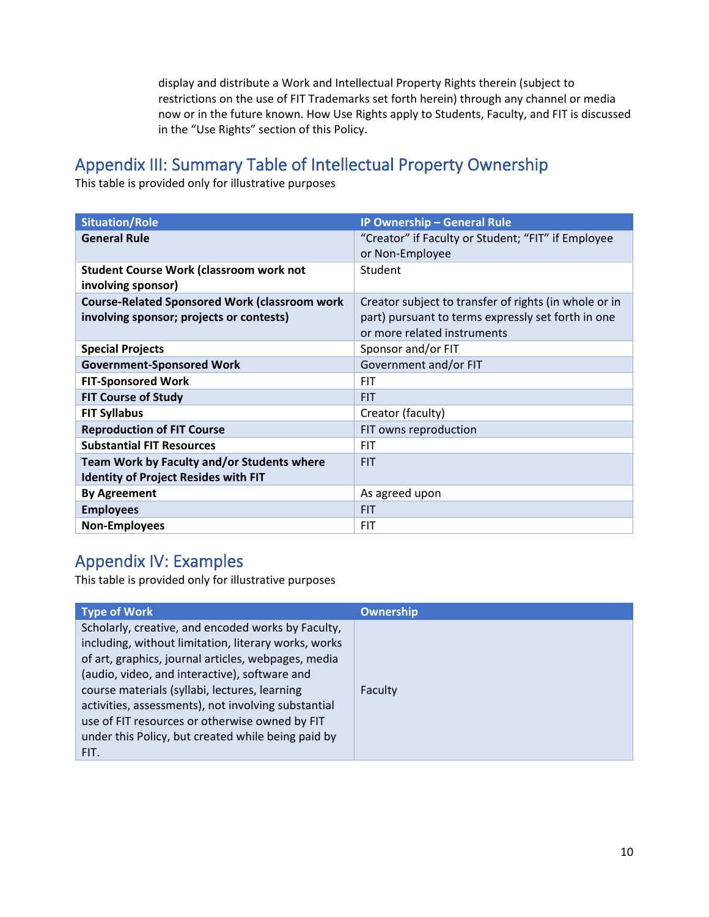display and distribute a Work and Intellectual Property Rights therein (subject to restrictions on the use of FIT Trademarks set forth herein) through any channel or media now or in the future known. How Use Rights apply to Students, Faculty, and FIT is discussed in the "Use Rights" section of this Policy.

# Appendix III: Summary Table of Intellectual Property Ownership

This table is provided only for illustrative purposes

| <b>Situation/Role</b>                                                | IP Ownership - General Rule                           |
|----------------------------------------------------------------------|-------------------------------------------------------|
| <b>General Rule</b>                                                  | "Creator" if Faculty or Student; "FIT" if Employee    |
|                                                                      | or Non-Employee                                       |
| <b>Student Course Work (classroom work not</b><br>involving sponsor) | Student                                               |
| <b>Course-Related Sponsored Work (classroom work</b>                 | Creator subject to transfer of rights (in whole or in |
| involving sponsor; projects or contests)                             | part) pursuant to terms expressly set forth in one    |
|                                                                      | or more related instruments                           |
| <b>Special Projects</b>                                              | Sponsor and/or FIT                                    |
| <b>Government-Sponsored Work</b>                                     | Government and/or FIT                                 |
| <b>FIT-Sponsored Work</b>                                            | <b>FIT</b>                                            |
| <b>FIT Course of Study</b>                                           | <b>FIT</b>                                            |
| <b>FIT Syllabus</b>                                                  | Creator (faculty)                                     |
| <b>Reproduction of FIT Course</b>                                    | FIT owns reproduction                                 |
| <b>Substantial FIT Resources</b>                                     | <b>FIT</b>                                            |
| <b>Team Work by Faculty and/or Students where</b>                    | <b>FIT</b>                                            |
| <b>Identity of Project Resides with FIT</b>                          |                                                       |
| <b>By Agreement</b>                                                  | As agreed upon                                        |
| <b>Employees</b>                                                     | <b>FIT</b>                                            |
| <b>Non-Employees</b>                                                 | <b>FIT</b>                                            |

# Appendix IV: Examples

This table is provided only for illustrative purposes

| <b>Type of Work</b>                                                                                                                                                                                                                                                                                                                                                                                                                        | <b>Ownership</b> |
|--------------------------------------------------------------------------------------------------------------------------------------------------------------------------------------------------------------------------------------------------------------------------------------------------------------------------------------------------------------------------------------------------------------------------------------------|------------------|
| Scholarly, creative, and encoded works by Faculty,<br>including, without limitation, literary works, works<br>of art, graphics, journal articles, webpages, media<br>(audio, video, and interactive), software and<br>course materials (syllabi, lectures, learning<br>activities, assessments), not involving substantial<br>use of FIT resources or otherwise owned by FIT<br>under this Policy, but created while being paid by<br>FIT. | Faculty          |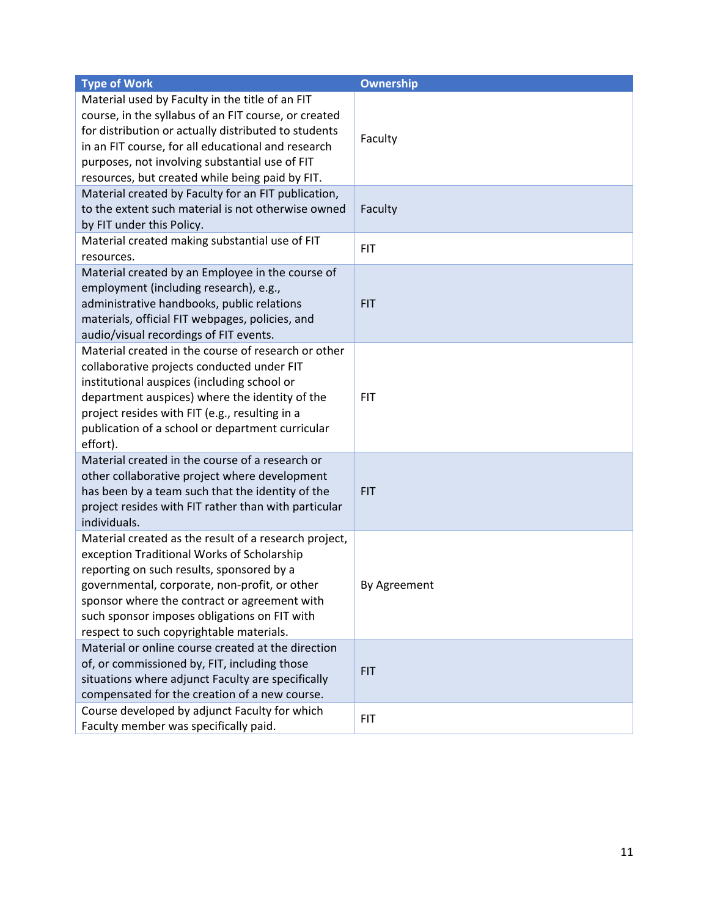| <b>Type of Work</b>                                                                                                                                                                                                                                                                                                                           | Ownership    |
|-----------------------------------------------------------------------------------------------------------------------------------------------------------------------------------------------------------------------------------------------------------------------------------------------------------------------------------------------|--------------|
| Material used by Faculty in the title of an FIT<br>course, in the syllabus of an FIT course, or created<br>for distribution or actually distributed to students<br>in an FIT course, for all educational and research<br>purposes, not involving substantial use of FIT<br>resources, but created while being paid by FIT.                    | Faculty      |
| Material created by Faculty for an FIT publication,<br>to the extent such material is not otherwise owned<br>by FIT under this Policy.                                                                                                                                                                                                        | Faculty      |
| Material created making substantial use of FIT<br>resources.                                                                                                                                                                                                                                                                                  | <b>FIT</b>   |
| Material created by an Employee in the course of<br>employment (including research), e.g.,<br>administrative handbooks, public relations<br>materials, official FIT webpages, policies, and<br>audio/visual recordings of FIT events.                                                                                                         | <b>FIT</b>   |
| Material created in the course of research or other<br>collaborative projects conducted under FIT<br>institutional auspices (including school or<br>department auspices) where the identity of the<br>project resides with FIT (e.g., resulting in a<br>publication of a school or department curricular<br>effort).                          | <b>FIT</b>   |
| Material created in the course of a research or<br>other collaborative project where development<br>has been by a team such that the identity of the<br>project resides with FIT rather than with particular<br>individuals.                                                                                                                  | <b>FIT</b>   |
| Material created as the result of a research project,<br>exception Traditional Works of Scholarship<br>reporting on such results, sponsored by a<br>governmental, corporate, non-profit, or other<br>sponsor where the contract or agreement with<br>such sponsor imposes obligations on FIT with<br>respect to such copyrightable materials. | By Agreement |
| Material or online course created at the direction<br>of, or commissioned by, FIT, including those<br>situations where adjunct Faculty are specifically<br>compensated for the creation of a new course.                                                                                                                                      | <b>FIT</b>   |
| Course developed by adjunct Faculty for which<br>Faculty member was specifically paid.                                                                                                                                                                                                                                                        | <b>FIT</b>   |